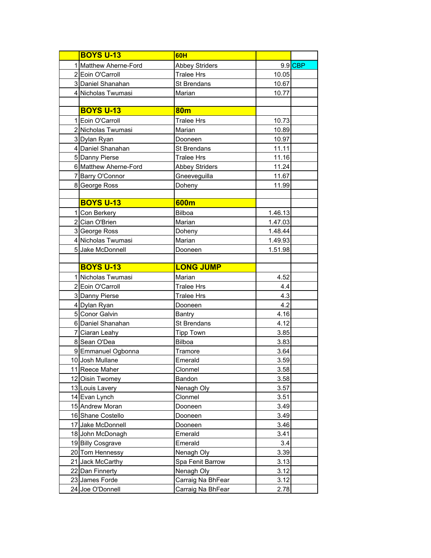| <b>BOYS U-13</b>      | <b>60H</b>            |         |           |
|-----------------------|-----------------------|---------|-----------|
| 1 Matthew Aherne-Ford | <b>Abbey Striders</b> |         | $9.9$ CBP |
| 2 Eoin O'Carroll      | <b>Tralee Hrs</b>     | 10.05   |           |
| 3 Daniel Shanahan     | St Brendans           | 10.67   |           |
| 4 Nicholas Twumasi    | Marian                | 10.77   |           |
|                       |                       |         |           |
| <b>BOYS U-13</b>      | 80 <sub>m</sub>       |         |           |
| 1 Eoin O'Carroll      | <b>Tralee Hrs</b>     | 10.73   |           |
| 2 Nicholas Twumasi    | Marian                | 10.89   |           |
| 3 Dylan Ryan          | Dooneen               | 10.97   |           |
| 4 Daniel Shanahan     | St Brendans           | 11.11   |           |
| 5 Danny Pierse        | <b>Tralee Hrs</b>     | 11.16   |           |
| 6 Matthew Aherne-Ford | <b>Abbey Striders</b> | 11.24   |           |
| 7 Barry O'Connor      | Gneeveguilla          | 11.67   |           |
| 8 George Ross         | Doheny                | 11.99   |           |
|                       |                       |         |           |
| <b>BOYS U-13</b>      | 600m                  |         |           |
| 1 Con Berkery         | <b>Bilboa</b>         | 1.46.13 |           |
| 2 Cian O'Brien        | Marian                | 1.47.03 |           |
| 3 George Ross         | Doheny                | 1.48.44 |           |
| 4 Nicholas Twumasi    | Marian                | 1.49.93 |           |
| 5 Jake McDonnell      | Dooneen               | 1.51.98 |           |
|                       |                       |         |           |
| <b>BOYS U-13</b>      | <b>LONG JUMP</b>      |         |           |
| 1 Nicholas Twumasi    | Marian                | 4.52    |           |
| 2 Eoin O'Carroll      | <b>Tralee Hrs</b>     | 4.4     |           |
| 3 Danny Pierse        | <b>Tralee Hrs</b>     | 4.3     |           |
| 4 Dylan Ryan          | Dooneen               | 4.2     |           |
| 5 Conor Galvin        | <b>Bantry</b>         | 4.16    |           |
| 6 Daniel Shanahan     | St Brendans           | 4.12    |           |
| 7 Ciaran Leahy        | <b>Tipp Town</b>      | 3.85    |           |
| 8 Sean O'Dea          | <b>Bilboa</b>         | 3.83    |           |
| 9 Emmanuel Ogbonna    | Tramore               | 3.64    |           |
| 10 Josh Mullane       | Emerald               | 3.59    |           |
| 11 Reece Maher        | Clonmel               | 3.58    |           |
| 12 Oisin Twomey       | Bandon                | 3.58    |           |
| 13 Louis Lavery       | Nenagh Oly            | 3.57    |           |
| 14 Evan Lynch         | Clonmel               | 3.51    |           |
| 15 Andrew Moran       | Dooneen               | 3.49    |           |
| 16 Shane Costello     | Dooneen               | 3.49    |           |
| 17 Jake McDonnell     | Dooneen               | 3.46    |           |
| 18 John McDonagh      | Emerald               | 3.41    |           |
| 19 Billy Cosgrave     | Emerald               | 3.4     |           |
| 20 Tom Hennessy       | Nenagh Oly            | 3.39    |           |
| 21 Jack McCarthy      | Spa Fenit Barrow      | 3.13    |           |
| 22 Dan Finnerty       | Nenagh Oly            | 3.12    |           |
| 23 James Forde        | Carraig Na BhFear     | 3.12    |           |
| 24 Joe O'Donnell      | Carraig Na BhFear     | 2.78    |           |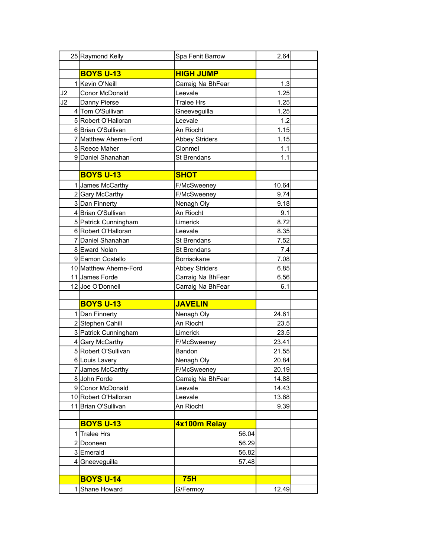|    | 25 Raymond Kelly       | Spa Fenit Barrow      | 2.64  |  |
|----|------------------------|-----------------------|-------|--|
|    |                        |                       |       |  |
|    | <b>BOYS U-13</b>       | <b>HIGH JUMP</b>      |       |  |
|    | 1 Kevin O'Neill        | Carraig Na BhFear     | 1.3   |  |
| J2 | Conor McDonald         | Leevale               | 1.25  |  |
| J2 | Danny Pierse           | <b>Tralee Hrs</b>     | 1.25  |  |
|    | 4 Tom O'Sullivan       | Gneeveguilla          | 1.25  |  |
|    | 5 Robert O'Halloran    | Leevale               | 1.2   |  |
|    | 6 Brian O'Sullivan     | An Riocht             | 1.15  |  |
|    | 7 Matthew Aherne-Ford  | <b>Abbey Striders</b> | 1.15  |  |
|    | 8 Reece Maher          | Clonmel               | 1.1   |  |
|    | 9 Daniel Shanahan      | St Brendans           | 1.1   |  |
|    |                        |                       |       |  |
|    | <b>BOYS U-13</b>       | <b>SHOT</b>           |       |  |
|    | 1 James McCarthy       | F/McSweeney           | 10.64 |  |
|    | 2 Gary McCarthy        | F/McSweeney           | 9.74  |  |
|    | 3 Dan Finnerty         | Nenagh Oly            | 9.18  |  |
|    | 4 Brian O'Sullivan     | An Riocht             | 9.1   |  |
|    | 5 Patrick Cunningham   | Limerick              | 8.72  |  |
|    | 6 Robert O'Halloran    | Leevale               | 8.35  |  |
|    | 7 Daniel Shanahan      | St Brendans           | 7.52  |  |
|    | 8 Eward Nolan          | St Brendans           | 7.4   |  |
|    | 9 Eamon Costello       | Borrisokane           | 7.08  |  |
|    | 10 Matthew Aherne-Ford | <b>Abbey Striders</b> | 6.85  |  |
|    | 11 James Forde         | Carraig Na BhFear     | 6.56  |  |
|    | 12 Joe O'Donnell       | Carraig Na BhFear     | 6.1   |  |
|    |                        |                       |       |  |
|    | <b>BOYS U-13</b>       | <b>JAVELIN</b>        |       |  |
|    | 1 Dan Finnerty         | Nenagh Oly            | 24.61 |  |
|    | 2 Stephen Cahill       | An Riocht             | 23.5  |  |
|    | 3 Patrick Cunningham   | Limerick              | 23.5  |  |
|    | 4 Gary McCarthy        | F/McSweeney           | 23.41 |  |
|    | 5 Robert O'Sullivan    | Bandon                | 21.55 |  |
|    | 6 Louis Lavery         | Nenagh Oly            | 20.84 |  |
|    | 7 James McCarthy       | F/McSweeney           | 20.19 |  |
|    | 8 John Forde           | Carraig Na BhFear     | 14.88 |  |
|    | 9 Conor McDonald       | Leevale               | 14.43 |  |
|    | 10 Robert O'Halloran   | Leevale               | 13.68 |  |
|    | 11 Brian O'Sullivan    | An Riocht             | 9.39  |  |
|    | <b>BOYS U-13</b>       |                       |       |  |
|    |                        | 4x100m Relay          |       |  |
| 1  | <b>Tralee Hrs</b>      | 56.04                 |       |  |
|    | 2 Dooneen              | 56.29                 |       |  |
|    | 3 Emerald              | 56.82                 |       |  |
|    | 4 Gneeveguilla         | 57.48                 |       |  |
|    | <b>BOYS U-14</b>       | 75H                   |       |  |
|    |                        |                       |       |  |
|    | 1 Shane Howard         | G/Fermoy              | 12.49 |  |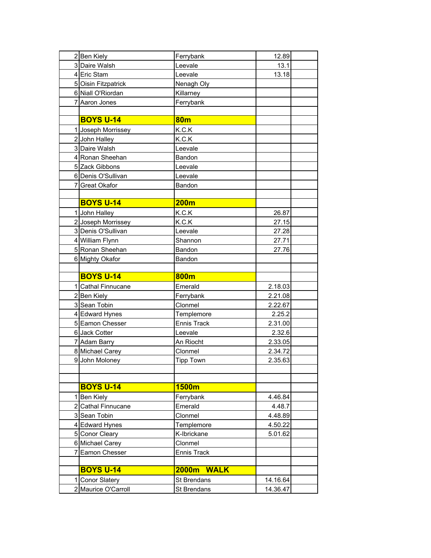| 2 Ben Kiely                            | Ferrybank                  | 12.89                |
|----------------------------------------|----------------------------|----------------------|
| 3 Daire Walsh                          | Leevale                    | 13.1                 |
| 4 Eric Stam                            | Leevale                    | 13.18                |
| 5 Oisin Fitzpatrick                    | Nenagh Oly                 |                      |
| 6 Niall O'Riordan                      | Killarney                  |                      |
| 7 Aaron Jones                          | Ferrybank                  |                      |
|                                        |                            |                      |
| <b>BOYS U-14</b>                       | 80 <sub>m</sub>            |                      |
| 1 Joseph Morrissey                     | K.C.K                      |                      |
| 2 John Halley                          | K.C.K                      |                      |
| 3 Daire Walsh                          | Leevale                    |                      |
| 4 Ronan Sheehan                        | Bandon                     |                      |
| 5 Zack Gibbons                         | Leevale                    |                      |
| 6 Denis O'Sullivan                     | Leevale                    |                      |
| 7 Great Okafor                         | Bandon                     |                      |
|                                        |                            |                      |
| <b>BOYS U-14</b>                       | 200m                       |                      |
| 1 John Halley                          | K.C.K                      | 26.87                |
| 2 Joseph Morrissey                     | K.C.K                      | 27.15                |
| 3 Denis O'Sullivan                     | Leevale                    | 27.28                |
| 4 William Flynn                        | Shannon                    | 27.71                |
| 5 Ronan Sheehan                        | Bandon                     | 27.76                |
| 6 Mighty Okafor                        | Bandon                     |                      |
|                                        |                            |                      |
|                                        |                            |                      |
| <b>BOYS U-14</b>                       | 800m                       |                      |
| 1 Cathal Finnucane                     | Emerald                    | 2.18.03              |
| 2 Ben Kiely                            | Ferrybank                  | 2.21.08              |
| 3 Sean Tobin                           | Clonmel                    | 2.22.67              |
| 4 Edward Hynes                         | Templemore                 | 2.25.2               |
| 5 Eamon Chesser                        | <b>Ennis Track</b>         | 2.31.00              |
| 6 Jack Cotter                          | Leevale                    | 2.32.6               |
| 7 Adam Barry                           | An Riocht                  | 2.33.05              |
| 8 Michael Carey                        | Clonmel                    | 2.34.72              |
| 9 John Moloney                         | <b>Tipp Town</b>           | 2.35.63              |
|                                        |                            |                      |
|                                        |                            |                      |
| <b>BOYS U-14</b>                       | 1500m                      |                      |
| 1 Ben Kiely                            | Ferrybank                  | 4.46.84              |
| 2 Cathal Finnucane                     | Emerald                    | 4.48.7               |
| 3 Sean Tobin                           | Clonmel                    | 4.48.89              |
| 4 Edward Hynes                         | Templemore                 | 4.50.22              |
| 5 Conor Cleary                         | K-Ibrickane                | 5.01.62              |
| 6 Michael Carey                        | Clonmel                    |                      |
| 7 Eamon Chesser                        | <b>Ennis Track</b>         |                      |
|                                        |                            |                      |
| <b>BOYS U-14</b>                       | 2000m<br><b>WALK</b>       |                      |
| 1 Conor Slatery<br>2 Maurice O'Carroll | St Brendans<br>St Brendans | 14.16.64<br>14.36.47 |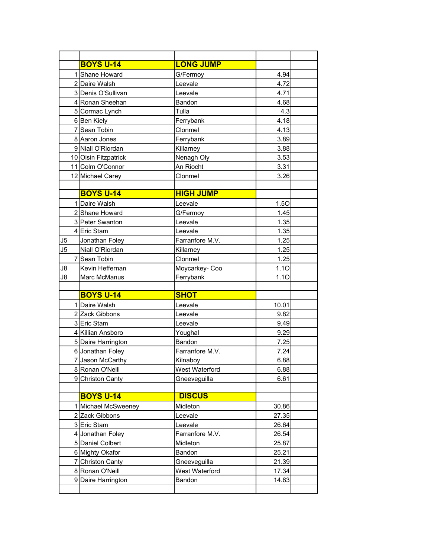|    | <b>BOYS U-14</b>     | <b>LONG JUMP</b> |       |  |
|----|----------------------|------------------|-------|--|
|    | 1 Shane Howard       | G/Fermoy         | 4.94  |  |
|    | 2 Daire Walsh        | Leevale          | 4.72  |  |
|    | 3 Denis O'Sullivan   | Leevale          | 4.71  |  |
|    | 4 Ronan Sheehan      | Bandon           | 4.68  |  |
|    | 5 Cormac Lynch       | Tulla            | 4.3   |  |
|    | 6 Ben Kiely          | Ferrybank        | 4.18  |  |
|    | 7 Sean Tobin         | Clonmel          | 4.13  |  |
|    | 8 Aaron Jones        | Ferrybank        | 3.89  |  |
|    | 9 Niall O'Riordan    | Killarney        | 3.88  |  |
|    | 10 Oisin Fitzpatrick | Nenagh Oly       | 3.53  |  |
|    | 11 Colm O'Connor     | An Riocht        | 3.31  |  |
|    | 12 Michael Carey     | Clonmel          | 3.26  |  |
|    |                      |                  |       |  |
|    | <b>BOYS U-14</b>     | <b>HIGH JUMP</b> |       |  |
|    | 1 Daire Walsh        | Leevale          | 1.50  |  |
|    | 2 Shane Howard       | G/Fermoy         | 1.45  |  |
|    | 3 Peter Swanton      | Leevale          | 1.35  |  |
|    | 4 Eric Stam          | Leevale          | 1.35  |  |
| J5 | Jonathan Foley       | Farranfore M.V.  | 1.25  |  |
| J5 | Niall O'Riordan      | Killarney        | 1.25  |  |
|    | 7 Sean Tobin         | Clonmel          | 1.25  |  |
| J8 | Kevin Heffernan      | Moycarkey-Coo    | 1.10  |  |
| J8 | Marc McManus         | Ferrybank        | 1.10  |  |
|    |                      |                  |       |  |
|    | <b>BOYS U-14</b>     | <b>SHOT</b>      |       |  |
|    | 1 Daire Walsh        | Leevale          | 10.01 |  |
|    | 2 Zack Gibbons       | Leevale          | 9.82  |  |
|    | 3 Eric Stam          | Leevale          | 9.49  |  |
|    | 4 Killian Ansboro    | Youghal          | 9.29  |  |
|    | 5 Daire Harrington   | Bandon           | 7.25  |  |
|    | 6 Jonathan Foley     | Farranfore M.V.  | 7.24  |  |
|    | 7 Jason McCarthy     | Kilnaboy         | 6.88  |  |
|    | 8 Ronan O'Neill      | West Waterford   | 6.88  |  |
|    | 9 Christon Canty     | Gneeveguilla     | 6.61  |  |
|    |                      |                  |       |  |
|    | <b>BOYS U-14</b>     | <b>DISCUS</b>    |       |  |
|    | 1 Michael McSweeney  | Midleton         | 30.86 |  |
|    | 2 Zack Gibbons       | Leevale          | 27.35 |  |
|    | 3 Eric Stam          | Leevale          | 26.64 |  |
|    | 4 Jonathan Foley     | Farranfore M.V.  | 26.54 |  |
|    | 5 Daniel Colbert     | Midleton         | 25.87 |  |
|    | 6 Mighty Okafor      | Bandon           | 25.21 |  |
|    | 7 Christon Canty     | Gneeveguilla     | 21.39 |  |
|    | 8 Ronan O'Neill      | West Waterford   | 17.34 |  |
|    | 9 Daire Harrington   | Bandon           | 14.83 |  |
|    |                      |                  |       |  |